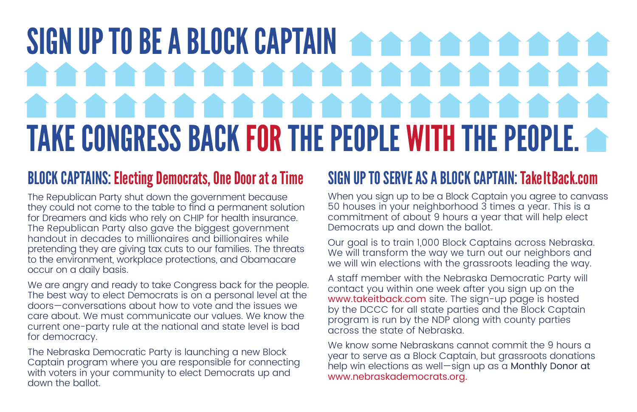# SIGN UP TO BE A BLOCK CAPTAIN **of the anti-match of the signal state** . . . . . . . . . . . . . . . . e e e e e e e e e e TAKE CONGRESS BACK FOR THE PEOPLE WITH THE PEOPLE.

### BLOCK CAPTAINS: Electing Democrats, One Door at a Time

The Republican Party shut down the government because they could not come to the table to find a permanent solution for Dreamers and kids who rely on CHIP for health insurance. The Republican Party also gave the biggest government handout in decades to millionaires and billionaires while pretending they are giving tax cuts to our families. The threats to the environment, workplace protections, and Obamacare occur on a daily basis.

We are angry and ready to take Congress back for the people. The best way to elect Democrats is on a personal level at the doors—conversations about how to vote and the issues we care about. We must communicate our values. We know the current one-party rule at the national and state level is bad for democracy.

The Nebraska Democratic Party is launching a new Block Captain program where you are responsible for connecting with voters in your community to elect Democrats up and down the ballot.

### SIGN UP TO SERVE AS A BLOCK CAPTAIN: TakeItBack.com

When you sign up to be a Block Captain you agree to canvass 50 houses in your neighborhood 3 times a year. This is a commitment of about 9 hours a year that will help elect Democrats up and down the ballot.

Our goal is to train 1,000 Block Captains across Nebraska. We will transform the way we turn out our neighbors and we will win elections with the grassroots leading the way.

A staff member with the Nebraska Democratic Party will contact you within one week after you sign up on the www.takeitback.com site. The sign-up page is hosted by the DCCC for all state parties and the Block Captain program is run by the NDP along with county parties across the state of Nebraska.

We know some Nebraskans cannot commit the 9 hours a year to serve as a Block Captain, but grassroots donations help win elections as well-sign up as a Monthly Donor at www.nebraskademocrats.org.